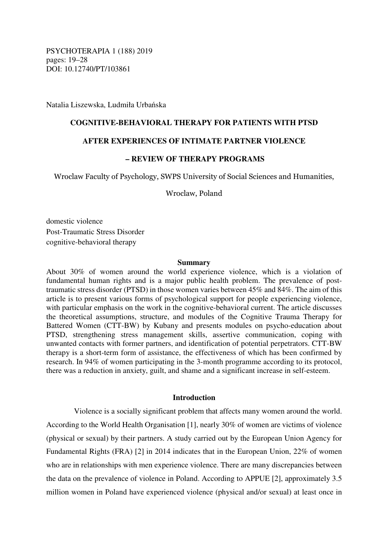PSYCHOTERAPIA 1 (188) 2019 pages: 19–28 DOI: 10.12740/PT/103861

Natalia Liszewska, Ludmiła Urbańska

## **COGNITIVE-BEHAVIORAL THERAPY FOR PATIENTS WITH PTSD**

# **AFTER EXPERIENCES OF INTIMATE PARTNER VIOLENCE**

# **– REVIEW OF THERAPY PROGRAMS**

Wroclaw Faculty of Psychology, SWPS University of Social Sciences and Humanities,

Wroclaw, Poland

domestic violence Post-Traumatic Stress Disorder cognitive-behavioral therapy

#### **Summary**

About 30% of women around the world experience violence, which is a violation of fundamental human rights and is a major public health problem. The prevalence of posttraumatic stress disorder (PTSD) in those women varies between 45% and 84%. The aim of this article is to present various forms of psychological support for people experiencing violence, with particular emphasis on the work in the cognitive-behavioral current. The article discusses the theoretical assumptions, structure, and modules of the Cognitive Trauma Therapy for Battered Women (CTT-BW) by Kubany and presents modules on psycho-education about PTSD, strengthening stress management skills, assertive communication, coping with unwanted contacts with former partners, and identification of potential perpetrators. CTT-BW therapy is a short-term form of assistance, the effectiveness of which has been confirmed by research. In 94% of women participating in the 3-month programme according to its protocol, there was a reduction in anxiety, guilt, and shame and a significant increase in self-esteem.

## **Introduction**

Violence is a socially significant problem that affects many women around the world. According to the World Health Organisation [1], nearly 30% of women are victims of violence (physical or sexual) by their partners. A study carried out by the European Union Agency for Fundamental Rights (FRA) [2] in 2014 indicates that in the European Union, 22% of women who are in relationships with men experience violence. There are many discrepancies between the data on the prevalence of violence in Poland. According to APPUE [2], approximately 3.5 million women in Poland have experienced violence (physical and/or sexual) at least once in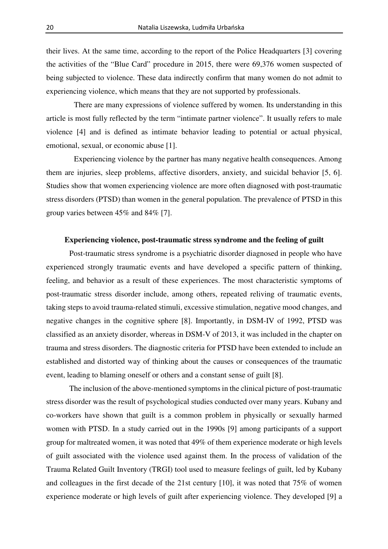their lives. At the same time, according to the report of the Police Headquarters [3] covering the activities of the "Blue Card" procedure in 2015, there were 69,376 women suspected of being subjected to violence. These data indirectly confirm that many women do not admit to experiencing violence, which means that they are not supported by professionals.

There are many expressions of violence suffered by women. Its understanding in this article is most fully reflected by the term "intimate partner violence". It usually refers to male violence [4] and is defined as intimate behavior leading to potential or actual physical, emotional, sexual, or economic abuse [1].

Experiencing violence by the partner has many negative health consequences. Among them are injuries, sleep problems, affective disorders, anxiety, and suicidal behavior [5, 6]. Studies show that women experiencing violence are more often diagnosed with post-traumatic stress disorders (PTSD) than women in the general population. The prevalence of PTSD in this group varies between 45% and 84% [7].

## **Experiencing violence, post-traumatic stress syndrome and the feeling of guilt**

Post-traumatic stress syndrome is a psychiatric disorder diagnosed in people who have experienced strongly traumatic events and have developed a specific pattern of thinking, feeling, and behavior as a result of these experiences. The most characteristic symptoms of post-traumatic stress disorder include, among others, repeated reliving of traumatic events, taking steps to avoid trauma-related stimuli, excessive stimulation, negative mood changes, and negative changes in the cognitive sphere [8]. Importantly, in DSM-IV of 1992, PTSD was classified as an anxiety disorder, whereas in DSM-V of 2013, it was included in the chapter on trauma and stress disorders. The diagnostic criteria for PTSD have been extended to include an established and distorted way of thinking about the causes or consequences of the traumatic event, leading to blaming oneself or others and a constant sense of guilt [8].

The inclusion of the above-mentioned symptoms in the clinical picture of post-traumatic stress disorder was the result of psychological studies conducted over many years. Kubany and co-workers have shown that guilt is a common problem in physically or sexually harmed women with PTSD. In a study carried out in the 1990s [9] among participants of a support group for maltreated women, it was noted that 49% of them experience moderate or high levels of guilt associated with the violence used against them. In the process of validation of the Trauma Related Guilt Inventory (TRGI) tool used to measure feelings of guilt, led by Kubany and colleagues in the first decade of the 21st century [10], it was noted that 75% of women experience moderate or high levels of guilt after experiencing violence. They developed [9] a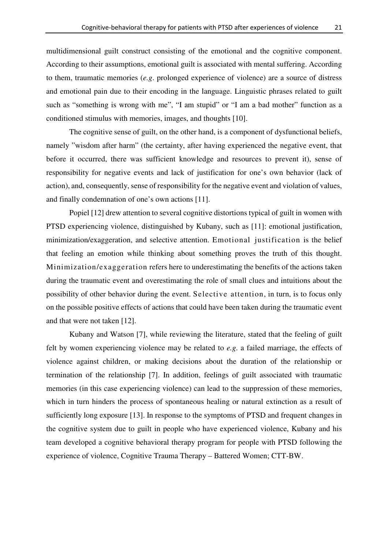multidimensional guilt construct consisting of the emotional and the cognitive component. According to their assumptions, emotional guilt is associated with mental suffering. According to them, traumatic memories (*e.g*. prolonged experience of violence) are a source of distress and emotional pain due to their encoding in the language. Linguistic phrases related to guilt such as "something is wrong with me", "I am stupid" or "I am a bad mother" function as a conditioned stimulus with memories, images, and thoughts [10].

The cognitive sense of guilt, on the other hand, is a component of dysfunctional beliefs, namely "wisdom after harm" (the certainty, after having experienced the negative event, that before it occurred, there was sufficient knowledge and resources to prevent it), sense of responsibility for negative events and lack of justification for one's own behavior (lack of action), and, consequently, sense of responsibility for the negative event and violation of values, and finally condemnation of one's own actions [11].

Popiel [12] drew attention to several cognitive distortions typical of guilt in women with PTSD experiencing violence, distinguished by Kubany, such as [11]: emotional justification, minimization/exaggeration, and selective attention. Emotional justification is the belief that feeling an emotion while thinking about something proves the truth of this thought. Minimization/exaggeration refers here to underestimating the benefits of the actions taken during the traumatic event and overestimating the role of small clues and intuitions about the possibility of other behavior during the event. Selective attention, in turn, is to focus only on the possible positive effects of actions that could have been taken during the traumatic event and that were not taken [12].

Kubany and Watson [7], while reviewing the literature, stated that the feeling of guilt felt by women experiencing violence may be related to *e.g*. a failed marriage, the effects of violence against children, or making decisions about the duration of the relationship or termination of the relationship [7]. In addition, feelings of guilt associated with traumatic memories (in this case experiencing violence) can lead to the suppression of these memories, which in turn hinders the process of spontaneous healing or natural extinction as a result of sufficiently long exposure [13]. In response to the symptoms of PTSD and frequent changes in the cognitive system due to guilt in people who have experienced violence, Kubany and his team developed a cognitive behavioral therapy program for people with PTSD following the experience of violence, Cognitive Trauma Therapy – Battered Women; CTT-BW.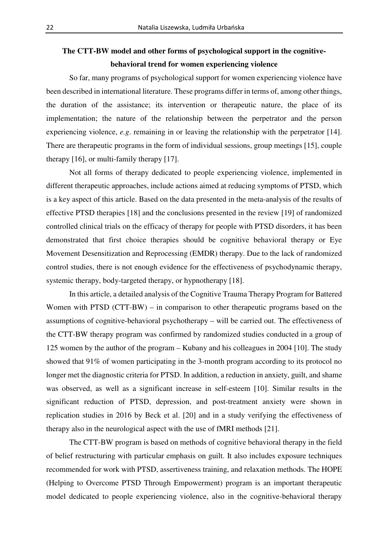# **The CTT-BW model and other forms of psychological support in the cognitivebehavioral trend for women experiencing violence**

So far, many programs of psychological support for women experiencing violence have been described in international literature. These programs differ in terms of, among other things, the duration of the assistance; its intervention or therapeutic nature, the place of its implementation; the nature of the relationship between the perpetrator and the person experiencing violence, *e.g*. remaining in or leaving the relationship with the perpetrator [14]. There are therapeutic programs in the form of individual sessions, group meetings [15], couple therapy [16], or multi-family therapy [17].

Not all forms of therapy dedicated to people experiencing violence, implemented in different therapeutic approaches, include actions aimed at reducing symptoms of PTSD, which is a key aspect of this article. Based on the data presented in the meta-analysis of the results of effective PTSD therapies [18] and the conclusions presented in the review [19] of randomized controlled clinical trials on the efficacy of therapy for people with PTSD disorders, it has been demonstrated that first choice therapies should be cognitive behavioral therapy or Eye Movement Desensitization and Reprocessing (EMDR) therapy. Due to the lack of randomized control studies, there is not enough evidence for the effectiveness of psychodynamic therapy, systemic therapy, body-targeted therapy, or hypnotherapy [18].

In this article, a detailed analysis of the Cognitive Trauma Therapy Program for Battered Women with PTSD (CTT-BW) – in comparison to other therapeutic programs based on the assumptions of cognitive-behavioral psychotherapy – will be carried out. The effectiveness of the CTT-BW therapy program was confirmed by randomized studies conducted in a group of 125 women by the author of the program – Kubany and his colleagues in 2004 [10]. The study showed that 91% of women participating in the 3-month program according to its protocol no longer met the diagnostic criteria for PTSD. In addition, a reduction in anxiety, guilt, and shame was observed, as well as a significant increase in self-esteem [10]. Similar results in the significant reduction of PTSD, depression, and post-treatment anxiety were shown in replication studies in 2016 by Beck et al. [20] and in a study verifying the effectiveness of therapy also in the neurological aspect with the use of fMRI methods [21].

The CTT-BW program is based on methods of cognitive behavioral therapy in the field of belief restructuring with particular emphasis on guilt. It also includes exposure techniques recommended for work with PTSD, assertiveness training, and relaxation methods. The HOPE (Helping to Overcome PTSD Through Empowerment) program is an important therapeutic model dedicated to people experiencing violence, also in the cognitive-behavioral therapy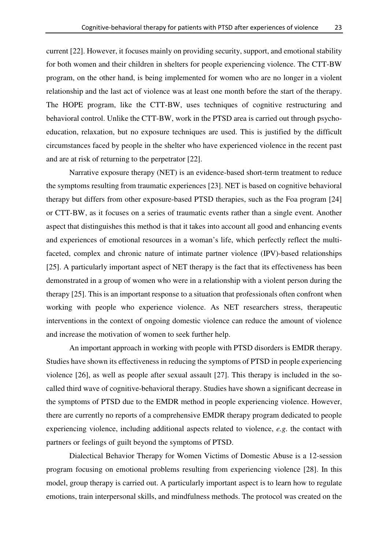current [22]. However, it focuses mainly on providing security, support, and emotional stability for both women and their children in shelters for people experiencing violence. The CTT-BW program, on the other hand, is being implemented for women who are no longer in a violent relationship and the last act of violence was at least one month before the start of the therapy. The HOPE program, like the CTT-BW, uses techniques of cognitive restructuring and behavioral control. Unlike the CTT-BW, work in the PTSD area is carried out through psychoeducation, relaxation, but no exposure techniques are used. This is justified by the difficult circumstances faced by people in the shelter who have experienced violence in the recent past and are at risk of returning to the perpetrator [22].

Narrative exposure therapy (NET) is an evidence-based short-term treatment to reduce the symptoms resulting from traumatic experiences [23]. NET is based on cognitive behavioral therapy but differs from other exposure-based PTSD therapies, such as the Foa program [24] or CTT-BW, as it focuses on a series of traumatic events rather than a single event. Another aspect that distinguishes this method is that it takes into account all good and enhancing events and experiences of emotional resources in a woman's life, which perfectly reflect the multifaceted, complex and chronic nature of intimate partner violence (IPV)-based relationships [25]. A particularly important aspect of NET therapy is the fact that its effectiveness has been demonstrated in a group of women who were in a relationship with a violent person during the therapy [25]. This is an important response to a situation that professionals often confront when working with people who experience violence. As NET researchers stress, therapeutic interventions in the context of ongoing domestic violence can reduce the amount of violence and increase the motivation of women to seek further help.

An important approach in working with people with PTSD disorders is EMDR therapy. Studies have shown its effectiveness in reducing the symptoms of PTSD in people experiencing violence [26], as well as people after sexual assault [27]. This therapy is included in the socalled third wave of cognitive-behavioral therapy. Studies have shown a significant decrease in the symptoms of PTSD due to the EMDR method in people experiencing violence. However, there are currently no reports of a comprehensive EMDR therapy program dedicated to people experiencing violence, including additional aspects related to violence, *e.g*. the contact with partners or feelings of guilt beyond the symptoms of PTSD.

Dialectical Behavior Therapy for Women Victims of Domestic Abuse is a 12-session program focusing on emotional problems resulting from experiencing violence [28]. In this model, group therapy is carried out. A particularly important aspect is to learn how to regulate emotions, train interpersonal skills, and mindfulness methods. The protocol was created on the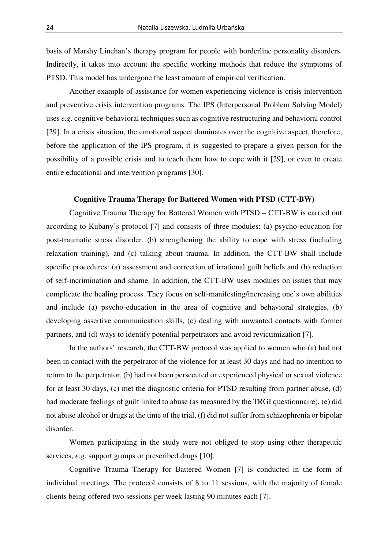basis of Marshy Linehan's therapy program for people with borderline personality disorders. Indirectly, it takes into account the specific working methods that reduce the symptoms of PTSD. This model has undergone the least amount of empirical verification.

Another example of assistance for women experiencing violence is crisis intervention and preventive crisis intervention programs. The IPS (Interpersonal Problem Solving Model) uses *e.g*. cognitive-behavioral techniques such as cognitive restructuring and behavioral control [29]. In a crisis situation, the emotional aspect dominates over the cognitive aspect, therefore, before the application of the IPS program, it is suggested to prepare a given person for the possibility of a possible crisis and to teach them how to cope with it [29], or even to create entire educational and intervention programs [30].

## **Cognitive Trauma Therapy for Battered Women with PTSD (CTT-BW)**

Cognitive Trauma Therapy for Battered Women with PTSD – CTT-BW is carried out according to Kubany's protocol [7] and consists of three modules: (a) psycho-education for post-traumatic stress disorder, (b) strengthening the ability to cope with stress (including relaxation training), and (c) talking about trauma. In addition, the CTT-BW shall include specific procedures: (a) assessment and correction of irrational guilt beliefs and (b) reduction of self-incrimination and shame. In addition, the CTT-BW uses modules on issues that may complicate the healing process. They focus on self-manifesting/increasing one's own abilities and include (a) psycho-education in the area of cognitive and behavioral strategies, (b) developing assertive communication skills, (c) dealing with unwanted contacts with former partners, and (d) ways to identify potential perpetrators and avoid revictimization [7].

In the authors' research, the CTT-BW protocol was applied to women who (a) had not been in contact with the perpetrator of the violence for at least 30 days and had no intention to return to the perpetrator, (b) had not been persecuted or experienced physical or sexual violence for at least 30 days, (c) met the diagnostic criteria for PTSD resulting from partner abuse, (d) had moderate feelings of guilt linked to abuse (as measured by the TRGI questionnaire), (e) did not abuse alcohol or drugs at the time of the trial, (f) did not suffer from schizophrenia or bipolar disorder.

Women participating in the study were not obliged to stop using other therapeutic services, *e.g.* support groups or prescribed drugs [10].

Cognitive Trauma Therapy for Battered Women [7] is conducted in the form of individual meetings. The protocol consists of 8 to 11 sessions, with the majority of female clients being offered two sessions per week lasting 90 minutes each [7].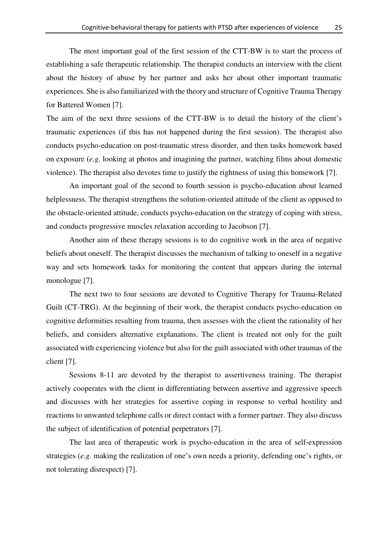The most important goal of the first session of the CTT-BW is to start the process of establishing a safe therapeutic relationship. The therapist conducts an interview with the client about the history of abuse by her partner and asks her about other important traumatic experiences. She is also familiarized with the theory and structure of Cognitive Trauma Therapy for Battered Women [7].

The aim of the next three sessions of the CTT-BW is to detail the history of the client's traumatic experiences (if this has not happened during the first session). The therapist also conducts psycho-education on post-traumatic stress disorder, and then tasks homework based on exposure (*e.g*. looking at photos and imagining the partner, watching films about domestic violence). The therapist also devotes time to justify the rightness of using this homework [7].

An important goal of the second to fourth session is psycho-education about learned helplessness. The therapist strengthens the solution-oriented attitude of the client as opposed to the obstacle-oriented attitude, conducts psycho-education on the strategy of coping with stress, and conducts progressive muscles relaxation according to Jacobson [7].

Another aim of these therapy sessions is to do cognitive work in the area of negative beliefs about oneself. The therapist discusses the mechanism of talking to oneself in a negative way and sets homework tasks for monitoring the content that appears during the internal monologue [7].

The next two to four sessions are devoted to Cognitive Therapy for Trauma-Related Guilt (CT-TRG). At the beginning of their work, the therapist conducts psycho-education on cognitive deformities resulting from trauma, then assesses with the client the rationality of her beliefs, and considers alternative explanations. The client is treated not only for the guilt associated with experiencing violence but also for the guilt associated with other traumas of the client [7].

Sessions 8-11 are devoted by the therapist to assertiveness training. The therapist actively cooperates with the client in differentiating between assertive and aggressive speech and discusses with her strategies for assertive coping in response to verbal hostility and reactions to unwanted telephone calls or direct contact with a former partner. They also discuss the subject of identification of potential perpetrators [7].

The last area of therapeutic work is psycho-education in the area of self-expression strategies (*e.g*. making the realization of one's own needs a priority, defending one's rights, or not tolerating disrespect) [7].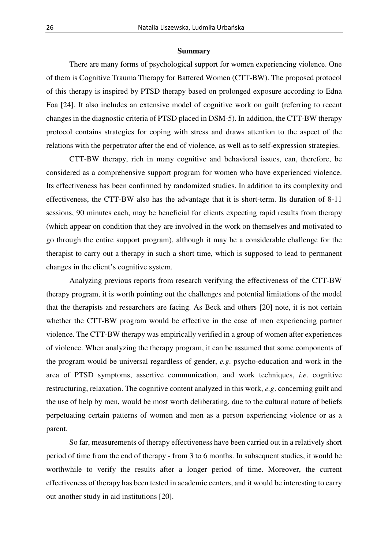#### **Summary**

There are many forms of psychological support for women experiencing violence. One of them is Cognitive Trauma Therapy for Battered Women (CTT-BW). The proposed protocol of this therapy is inspired by PTSD therapy based on prolonged exposure according to Edna Foa [24]. It also includes an extensive model of cognitive work on guilt (referring to recent changes in the diagnostic criteria of PTSD placed in DSM-5). In addition, the CTT-BW therapy protocol contains strategies for coping with stress and draws attention to the aspect of the relations with the perpetrator after the end of violence, as well as to self-expression strategies.

CTT-BW therapy, rich in many cognitive and behavioral issues, can, therefore, be considered as a comprehensive support program for women who have experienced violence. Its effectiveness has been confirmed by randomized studies. In addition to its complexity and effectiveness, the CTT-BW also has the advantage that it is short-term. Its duration of 8-11 sessions, 90 minutes each, may be beneficial for clients expecting rapid results from therapy (which appear on condition that they are involved in the work on themselves and motivated to go through the entire support program), although it may be a considerable challenge for the therapist to carry out a therapy in such a short time, which is supposed to lead to permanent changes in the client's cognitive system.

Analyzing previous reports from research verifying the effectiveness of the CTT-BW therapy program, it is worth pointing out the challenges and potential limitations of the model that the therapists and researchers are facing. As Beck and others [20] note, it is not certain whether the CTT-BW program would be effective in the case of men experiencing partner violence. The CTT-BW therapy was empirically verified in a group of women after experiences of violence. When analyzing the therapy program, it can be assumed that some components of the program would be universal regardless of gender, *e.g*. psycho-education and work in the area of PTSD symptoms, assertive communication, and work techniques, *i.e*. cognitive restructuring, relaxation. The cognitive content analyzed in this work, *e.g*. concerning guilt and the use of help by men, would be most worth deliberating, due to the cultural nature of beliefs perpetuating certain patterns of women and men as a person experiencing violence or as a parent.

So far, measurements of therapy effectiveness have been carried out in a relatively short period of time from the end of therapy - from 3 to 6 months. In subsequent studies, it would be worthwhile to verify the results after a longer period of time. Moreover, the current effectiveness of therapy has been tested in academic centers, and it would be interesting to carry out another study in aid institutions [20].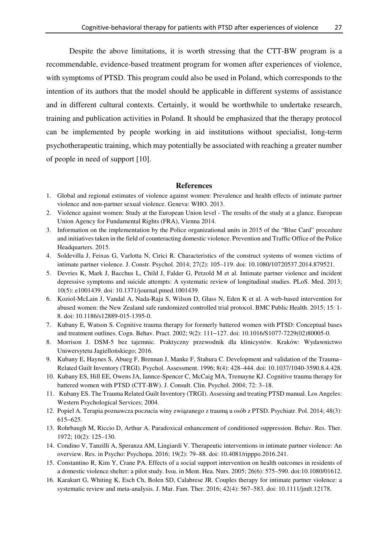Despite the above limitations, it is worth stressing that the CTT-BW program is a recommendable, evidence-based treatment program for women after experiences of violence, with symptoms of PTSD. This program could also be used in Poland, which corresponds to the intention of its authors that the model should be applicable in different systems of assistance and in different cultural contexts. Certainly, it would be worthwhile to undertake research, training and publication activities in Poland. It should be emphasized that the therapy protocol can be implemented by people working in aid institutions without specialist, long-term psychotherapeutic training, which may potentially be associated with reaching a greater number of people in need of support [10].

#### **References**

- 1. Global and regional estimates of violence against women: Prevalence and health effects of intimate partner violence and non-partner sexual violence. Geneva: WHO. 2013.
- 2. Violence against women: Study at the European Union level The results of the study at a glance. European Union Agency for Fundamental Rights (FRA), Vienna 2014.
- 3. Information on the implementation by the Police organizational units in 2015 of the "Blue Card" procedure and initiatives taken in the field of counteracting domestic violence. Prevention and Traffic Office of the Police Headquarters. 2015.
- 4. Soldevilla J, Feixas G, Varlotta N, Cirici R. Characteristics of the construct systems of women victims of intimate partner violence. J. Constr. Psychol. 2014; 27(2): 105–119. doi: 10.1080/10720537.2014.879521.
- 5. Devries K, Mark J, Bacchus L, Child J, Falder G, Petzold M et al. Intimate partner violence and incident depressive symptoms and suicide attempts: A systematic review of longitudinal studies. PLoS. Med. 2013; 10(5): e1001439. doi: 10.1371/journal.pmed.1001439.
- 6. Koziol-McLain J, Vandal A, Nada-Raja S, Wilson D, Glass N, Eden K et al. A web-based intervention for abused women: the New Zealand safe randomized controlled trial protocol. BMC Public Health. 2015; 15: 1- 8. doi: 10.1186/s12889-015-1395-0.
- 7. Kubany E, Watson S. Cognitive trauma therapy for formerly battered women with PTSD: Conceptual bases and treatment outlines. Cogn. Behav. Pract. 2002; 9(2): 111−127. doi: 10.1016/S1077-7229(02)80005-0.
- 8. Morrison J. DSM-5 bez tajemnic. Praktyczny przewodnik dla klinicystów. Kraków: Wydawnictwo Uniwersytetu Jagiellońskiego; 2016.
- 9. Kubany E, Haynes S, Abueg F, Brennan J, Manke F, Stahura C. Development and validation of the Trauma– Related Guilt Inventory (TRGI). Psychol. Assessment. 1996; 8(4): 428–444. doi: 10.1037/1040-3590.8.4.428.
- 10. Kubany ES, Hill EE, Owens JA, Iannce-Spencer C, McCaig MA, Tremayne KJ. Cognitive trauma therapy for battered women with PTSD (CTT-BW). J. Consult. Clin. Psychol. 2004; 72: 3–18.
- 11. Kubany ES. The Trauma Related Guilt Inventory (TRGI). Assessing and treating PTSD manual. Los Angeles: Western Psychological Services; 2004.
- 12. Popiel A. Terapia poznawcza poczucia winy związanego z traumą u osób z PTSD. Psychiatr. Pol. 2014; 48(3): 615−625.
- 13. Rohrbaugh M, Riccio D, Arthur A. Paradoxical enhancement of conditioned suppression. Behav. Res. Ther. 1972; 10(2): 125–130.
- 14. Condino V, Tanzilli A, Speranza AM, Lingiardi V. Therapeutic interventions in intimate partner violence: An overview. Res. in Psycho: Psychopa. 2016; 19(2): 79–88. doi: 10.4081/ripppo.2016.241.
- 15. Constantino R, Kim Y, Crane PA. Effects of a social support intervention on health outcomes in residents of a domestic violence shelter: a pilot study. Issu. in Ment. Hea. Nurs. 2005; 26(6): 575–590. doi:10.1080/01612.
- 16. Karakurt G, Whiting K, Esch Ch, Bolen SD, Calabrese JR. Couples therapy for intimate partner violence: a systematic review and meta-analysis. J. Mar. Fam. Ther. 2016; 42(4): 567–583. doi: 10.1111/jmft.12178.